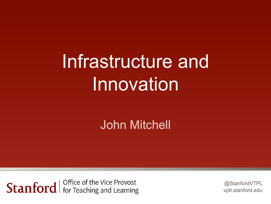# Infrastructure and **Innovation**

#### John Mitchell

Office of the Vice Provos for Teaching and I

@StanfordVTPL vptl.stanford.edu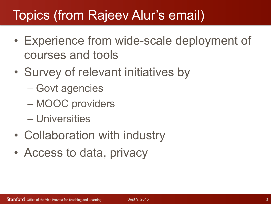# Topics (from Rajeev Alur's email)

- Experience from wide-scale deployment of courses and tools
- Survey of relevant initiatives by
	- Govt agencies
	- MOOC providers
	- Universities
- Collaboration with industry
- Access to data, privacy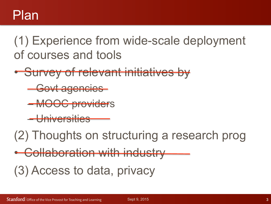(1) Experience from wide-scale deployment of courses and tools

- Survey of relevant initiatives by
	- Govt agencies
	- MOOC providers
	- **Universities**

(2) Thoughts on structuring a research prog

Collaboration with industry

(3) Access to data, privacy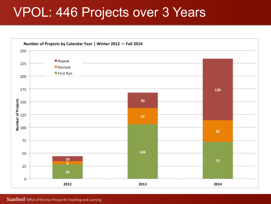## VPOL: 446 Projects over 3 Years

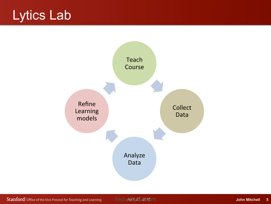# Lytics Lab

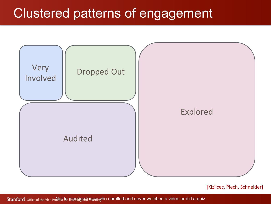## Clustered patterns of engagement



[Kizilcec, Piech, Schneider]

office of the Vice Provet to mentig anting and conrolled and never watched a video or did a quiz.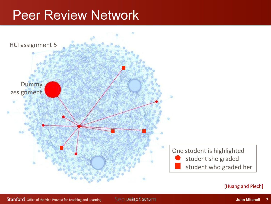### Peer Review Network

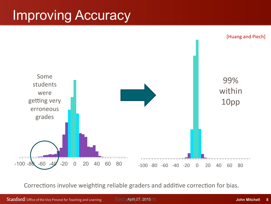# Improving Accuracy



Corrections involve weighting reliable graders and additive correction for bias.

Security 27, 2015 m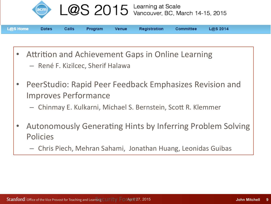

L@S 2015 Learning at Scale<br>Vancouver, BC, March 14-15, 2015

| L@S Home Dates Calls Program Venue Registration Committee L@S 2014 |  |  |  |  |  |  |  |  |  |
|--------------------------------------------------------------------|--|--|--|--|--|--|--|--|--|
|--------------------------------------------------------------------|--|--|--|--|--|--|--|--|--|

- Attrition and Achievement Gaps in Online Learning
	- René F. Kizilcec, Sherif Halawa
- PeerStudio: Rapid Peer Feedback Emphasizes Revision and Improves Performance
	- $-$  Chinmay E. Kulkarni, Michael S. Bernstein, Scott R. Klemmer
- Autonomously Generating Hints by Inferring Problem Solving **Policies** 
	- $-$  Chris Piech, Mehran Sahami, Jonathan Huang, Leonidas Guibas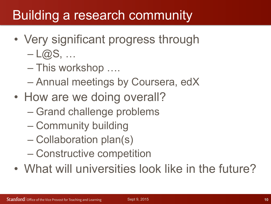# Building a research community

- Very significant progress through
	- $-L(@S, \ldots)$
	- This workshop ….
	- Annual meetings by Coursera, edX
- How are we doing overall?
	- Grand challenge problems
	- Community building
	- Collaboration plan(s)
	- Constructive competition
- What will universities look like in the future?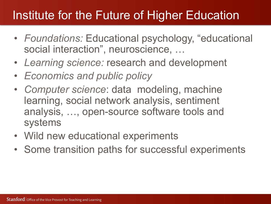#### Institute for the Future of Higher Education

- *Foundations:* Educational psychology, "educational social interaction", neuroscience, …
- *Learning science:* research and development
- *Economics and public policy*
- *Computer science*: data modeling, machine learning, social network analysis, sentiment analysis, …, open-source software tools and systems
- Wild new educational experiments
- Some transition paths for successful experiments